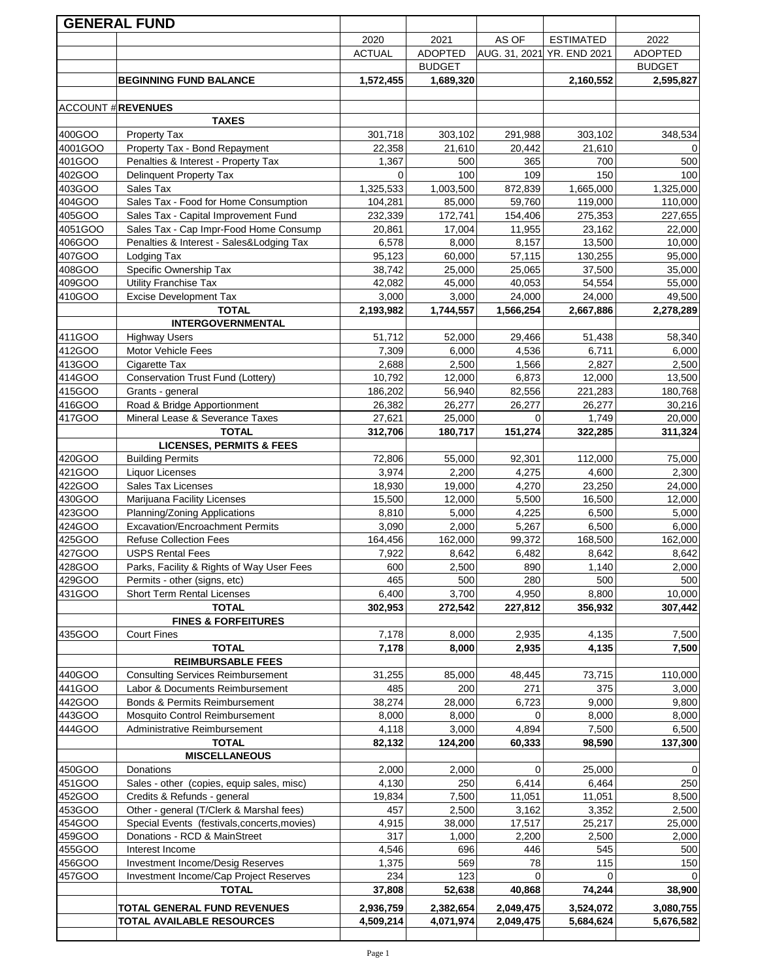|                  | <b>GENERAL FUND</b>                                                          |               |                 |                 |                            |                 |
|------------------|------------------------------------------------------------------------------|---------------|-----------------|-----------------|----------------------------|-----------------|
|                  |                                                                              | 2020          | 2021            | AS OF           | <b>ESTIMATED</b>           | 2022            |
|                  |                                                                              | <b>ACTUAL</b> | <b>ADOPTED</b>  |                 | AUG. 31, 2021 YR. END 2021 | <b>ADOPTED</b>  |
|                  |                                                                              |               | <b>BUDGET</b>   |                 |                            | <b>BUDGET</b>   |
|                  | <b>BEGINNING FUND BALANCE</b>                                                | 1,572,455     | 1,689,320       |                 | 2,160,552                  | 2,595,827       |
|                  |                                                                              |               |                 |                 |                            |                 |
|                  | <b>ACCOUNT # REVENUES</b>                                                    |               |                 |                 |                            |                 |
|                  | <b>TAXES</b>                                                                 |               |                 |                 |                            |                 |
| 400GOO           | Property Tax                                                                 | 301,718       | 303,102         | 291,988         | 303,102                    | 348,534         |
| 4001GOO          | Property Tax - Bond Repayment                                                | 22,358        | 21,610          | 20,442          | 21,610                     |                 |
| 401GOO           | Penalties & Interest - Property Tax                                          | 1,367         | 500             | 365             | 700                        | 500             |
| 402GOO           | Delinquent Property Tax                                                      | $\mathbf{0}$  | 100             | 109             | 150                        | 100             |
| 403GOO           | Sales Tax                                                                    | 1,325,533     | 1,003,500       | 872,839         | 1,665,000                  | 1,325,000       |
| 404GOO           | Sales Tax - Food for Home Consumption                                        | 104,281       | 85,000          | 59,760          | 119,000                    | 110,000         |
| 405GOO           | Sales Tax - Capital Improvement Fund                                         | 232,339       | 172,741         | 154,406         | 275,353                    | 227,655         |
| 4051GOO          | Sales Tax - Cap Impr-Food Home Consump                                       | 20,861        | 17,004          | 11,955          | 23,162                     | 22,000          |
| 406GOO           | Penalties & Interest - Sales&Lodging Tax                                     | 6,578         | 8,000           | 8,157           | 13,500                     | 10,000          |
| 407GOO           | Lodging Tax                                                                  | 95,123        | 60,000          | 57,115          | 130,255                    | 95,000          |
| 408GOO           | Specific Ownership Tax                                                       | 38,742        | 25,000          | 25,065          | 37,500                     | 35,000          |
| 409GOO           | Utility Franchise Tax                                                        | 42,082        | 45,000          | 40,053          | 54,554                     | 55,000          |
| 410GOO           | <b>Excise Development Tax</b>                                                | 3,000         | 3,000           | 24,000          | 24,000                     | 49,500          |
|                  | <b>TOTAL</b>                                                                 | 2,193,982     | 1,744,557       | 1,566,254       | 2,667,886                  | 2,278,289       |
|                  | <b>INTERGOVERNMENTAL</b>                                                     |               |                 |                 |                            |                 |
| 411GOO           | <b>Highway Users</b>                                                         | 51,712        | 52,000          | 29,466          | 51,438                     | 58,340          |
| 412GOO           | Motor Vehicle Fees                                                           | 7,309         | 6,000           | 4,536           | 6,711                      | 6,000           |
| 413GOO           | Cigarette Tax                                                                | 2,688         | 2,500           | 1,566           | 2,827                      | 2,500           |
| 414GOO           | Conservation Trust Fund (Lottery)                                            | 10,792        | 12,000          | 6,873           | 12,000                     | 13,500          |
| 415GOO           | Grants - general                                                             | 186,202       | 56,940          | 82,556          | 221,283                    | 180,768         |
| 416GOO           | Road & Bridge Apportionment                                                  | 26,382        | 26,277          | 26,277          | 26,277                     | 30,216          |
| 417GOO           | Mineral Lease & Severance Taxes                                              | 27,621        | 25,000          | $\Omega$        | 1,749                      | 20,000          |
|                  | <b>TOTAL</b>                                                                 | 312,706       | 180,717         | 151,274         | 322,285                    | 311,324         |
|                  | <b>LICENSES, PERMITS &amp; FEES</b>                                          |               |                 |                 |                            |                 |
| 420GOO           | <b>Building Permits</b>                                                      | 72,806        | 55,000          | 92,301          | 112,000                    | 75,000          |
| 421GOO           | <b>Liquor Licenses</b>                                                       | 3,974         | 2,200           | 4,275           | 4,600                      | 2,300           |
| 422GOO           | <b>Sales Tax Licenses</b>                                                    | 18,930        | 19,000          | 4,270           | 23,250                     | 24,000          |
| 430GOO           | Marijuana Facility Licenses                                                  | 15,500        | 12,000          | 5,500           | 16,500                     | 12,000          |
| 423GOO           | Planning/Zoning Applications                                                 | 8,810         | 5,000           | 4,225           | 6,500                      | 5,000           |
| 424GOO           | <b>Excavation/Encroachment Permits</b>                                       | 3,090         | 2,000           | 5,267           | 6,500                      | 6,000           |
| 425GOO           | <b>Refuse Collection Fees</b>                                                | 164,456       | 162,000         | 99,372          | 168,500                    | 162,000         |
| 427GOO           | <b>USPS Rental Fees</b>                                                      | 7,922         | 8,642           | 6,482           | 8,642                      | 8,642           |
| 428GOO           | Parks, Facility & Rights of Way User Fees                                    | 600           | 2,500           | 890             | 1,140                      | 2,000           |
| 429GOO           | Permits - other (signs, etc)                                                 | 465           | 500             | 280             | 500                        | 500             |
| 431GOO           | Short Term Rental Licenses                                                   | 6,400         | 3,700           | 4,950           | 8,800                      | 10,000          |
|                  | <b>TOTAL</b>                                                                 | 302,953       | 272,542         | 227,812         | 356,932                    | 307,442         |
|                  | <b>FINES &amp; FORFEITURES</b>                                               |               |                 |                 |                            |                 |
| 435GOO           | <b>Court Fines</b>                                                           | 7,178         | 8,000           | 2,935           | 4,135                      | 7,500           |
|                  | <b>TOTAL</b>                                                                 | 7,178         | 8,000           | 2,935           | 4,135                      | 7,500           |
|                  | <b>REIMBURSABLE FEES</b>                                                     |               |                 |                 |                            |                 |
| 440GOO           | <b>Consulting Services Reimbursement</b>                                     | 31,255        | 85,000          | 48,445          | 73,715                     | 110,000         |
| 441GOO           | Labor & Documents Reimbursement                                              | 485           | 200             | 271             | 375                        | 3,000           |
| 442GOO           | Bonds & Permits Reimbursement                                                | 38,274        | 28,000          | 6,723           | 9,000                      | 9,800           |
| 443GOO<br>444GOO | Mosquito Control Reimbursement                                               | 8,000         | 8,000<br>3,000  | $\Omega$        | 8,000                      | 8,000           |
|                  | Administrative Reimbursement<br><b>TOTAL</b>                                 | 4,118         |                 | 4,894           | 7,500                      | 6,500           |
|                  | <b>MISCELLANEOUS</b>                                                         | 82,132        | 124,200         | 60,333          | 98,590                     | 137,300         |
|                  |                                                                              |               |                 | $\Omega$        |                            | $\Omega$        |
| 450GOO<br>451GOO | Donations                                                                    | 2,000         | 2,000           |                 | 25,000                     |                 |
| 452GOO           | Sales - other (copies, equip sales, misc)                                    | 4,130         | 250             | 6,414           | 6,464                      | 250             |
|                  | Credits & Refunds - general<br>Other - general (T/Clerk & Marshal fees)      | 19,834<br>457 | 7,500<br>2,500  | 11,051<br>3,162 | 11,051<br>3,352            | 8,500<br>2,500  |
| 453GOO           |                                                                              |               |                 |                 |                            |                 |
| 454GOO<br>459GOO | Special Events (festivals, concerts, movies)<br>Donations - RCD & MainStreet | 4,915<br>317  | 38,000<br>1,000 | 17,517<br>2,200 | 25,217<br>2,500            | 25,000<br>2,000 |
| 455GOO           | Interest Income                                                              | 4,546         | 696             | 446             | 545                        | 500             |
| 456GOO           | Investment Income/Desig Reserves                                             | 1,375         | 569             | 78              | 115                        | 150             |
| 457GOO           | Investment Income/Cap Project Reserves                                       | 234           | 123             |                 | $\Omega$                   |                 |
|                  | <b>TOTAL</b>                                                                 | 37,808        | 52,638          | 40,868          | 74,244                     | 38,900          |
|                  |                                                                              |               |                 |                 |                            |                 |
|                  | TOTAL GENERAL FUND REVENUES                                                  | 2,936,759     | 2,382,654       | 2,049,475       | 3,524,072                  | 3,080,755       |
|                  | TOTAL AVAILABLE RESOURCES                                                    | 4,509,214     | 4,071,974       | 2,049,475       | 5,684,624                  | 5,676,582       |
|                  |                                                                              |               |                 |                 |                            |                 |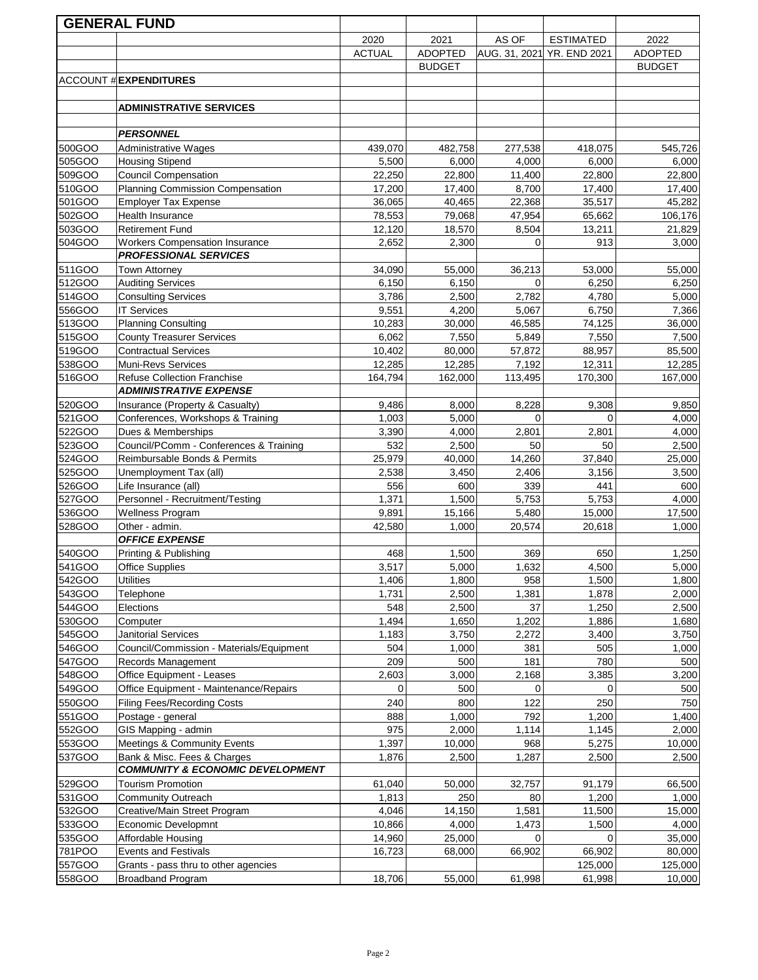|                  | <b>GENERAL FUND</b>                              |                |                |                       |                            |                 |
|------------------|--------------------------------------------------|----------------|----------------|-----------------------|----------------------------|-----------------|
|                  |                                                  | 2020           | 2021           | AS OF                 | <b>ESTIMATED</b>           | 2022            |
|                  |                                                  | <b>ACTUAL</b>  | <b>ADOPTED</b> |                       | AUG. 31, 2021 YR. END 2021 | <b>ADOPTED</b>  |
|                  |                                                  |                | <b>BUDGET</b>  |                       |                            | <b>BUDGET</b>   |
|                  | <b>ACCOUNT # EXPENDITURES</b>                    |                |                |                       |                            |                 |
|                  |                                                  |                |                |                       |                            |                 |
|                  | <b>ADMINISTRATIVE SERVICES</b>                   |                |                |                       |                            |                 |
|                  |                                                  |                |                |                       |                            |                 |
|                  | <b>PERSONNEL</b>                                 |                |                |                       |                            |                 |
| 500GOO           | <b>Administrative Wages</b>                      | 439,070        | 482,758        | 277,538               | 418,075                    | 545,726         |
| 505GOO           | <b>Housing Stipend</b>                           | 5,500          | 6,000          | 4,000                 | 6,000                      | 6,000           |
| 509GOO           | <b>Council Compensation</b>                      | 22,250         | 22,800         | 11,400                | 22,800                     | 22,800          |
| 510GOO           | <b>Planning Commission Compensation</b>          | 17,200         | 17,400         | 8,700                 | 17,400                     | 17,400          |
| 501GOO           | <b>Employer Tax Expense</b>                      | 36,065         | 40,465         | 22,368                | 35,517                     | 45,282          |
| 502GOO           | Health Insurance                                 | 78,553         | 79,068         | 47,954                | 65,662                     | 106,176         |
| 503GOO           | <b>Retirement Fund</b>                           | 12,120         | 18,570         | 8,504                 | 13,211                     | 21,829          |
| 504GOO           | Workers Compensation Insurance                   | 2,652          | 2,300          | $\Omega$              | 913                        | 3,000           |
|                  | <b>PROFESSIONAL SERVICES</b>                     |                |                |                       |                            |                 |
| 511GOO           | <b>Town Attorney</b>                             | 34,090         | 55,000         | 36,213<br>$\mathbf 0$ | 53,000                     | 55,000          |
| 512GOO           | <b>Auditing Services</b>                         | 6,150<br>3,786 | 6,150          | 2,782                 | 6,250<br>4,780             | 6,250           |
| 514GOO<br>556GOO | <b>Consulting Services</b><br><b>IT Services</b> | 9,551          | 2,500<br>4,200 | 5,067                 | 6,750                      | 5,000           |
| 513GOO           | <b>Planning Consulting</b>                       | 10,283         | 30,000         | 46,585                | 74,125                     | 7,366<br>36,000 |
| 515GOO           | <b>County Treasurer Services</b>                 | 6,062          | 7,550          | 5,849                 | 7,550                      | 7,500           |
| 519GOO           | <b>Contractual Services</b>                      | 10,402         | 80,000         | 57,872                | 88,957                     | 85,500          |
| 538GOO           | Muni-Revs Services                               | 12,285         | 12,285         | 7,192                 | 12,311                     | 12,285          |
| 516GOO           | <b>Refuse Collection Franchise</b>               | 164,794        | 162,000        | 113,495               | 170,300                    | 167,000         |
|                  | <b>ADMINISTRATIVE EXPENSE</b>                    |                |                |                       |                            |                 |
| 520GOO           | Insurance (Property & Casualty)                  | 9,486          | 8,000          | 8,228                 | 9,308                      | 9,850           |
| 521GOO           | Conferences, Workshops & Training                | 1,003          | 5,000          | $\Omega$              | $\Omega$                   | 4,000           |
| 522GOO           | Dues & Memberships                               | 3,390          | 4,000          | 2,801                 | 2,801                      | 4,000           |
| 523GOO           | Council/PComm - Conferences & Training           | 532            | 2,500          | 50                    | 50                         | 2,500           |
| 524GOO           | Reimbursable Bonds & Permits                     | 25,979         | 40,000         | 14,260                | 37,840                     | 25,000          |
| 525GOO           | Unemployment Tax (all)                           | 2,538          | 3,450          | 2,406                 | 3,156                      | 3,500           |
| 526GOO           | Life Insurance (all)                             | 556            | 600            | 339                   | 441                        | 600             |
| 527GOO           | Personnel - Recruitment/Testing                  | 1,371          | 1,500          | 5,753                 | 5,753                      | 4,000           |
| 536GOO           | Wellness Program                                 | 9,891          | 15,166         | 5,480                 | 15,000                     | 17,500          |
| 528GOO           | Other - admin.                                   | 42,580         | 1,000          | 20,574                | 20,618                     | 1,000           |
|                  | <b>OFFICE EXPENSE</b>                            |                |                |                       |                            |                 |
| 540GOO           | Printing & Publishing                            | 468            | 1,500          | 369                   | 650                        | 1,250           |
| 541GOO           | <b>Office Supplies</b>                           | 3,517          | 5,000          | 1,632                 | 4,500                      | 5,000           |
| 542GOO           | <b>Utilities</b>                                 | 1,406          | 1,800          | 958                   | 1,500                      | 1,800           |
| 543GOO           | Telephone                                        | 1,731          | 2,500          | 1,381                 | 1,878                      | 2,000           |
| 544GOO<br>530GOO | Elections                                        | 548<br>1,494   | 2,500          | 37<br>1,202           | 1,250                      | 2,500           |
| 545GOO           | Computer<br>Janitorial Services                  | 1,183          | 1,650<br>3,750 | 2,272                 | 1,886<br>3,400             | 1,680<br>3,750  |
| 546GOO           | Council/Commission - Materials/Equipment         | 504            | 1,000          | 381                   | 505                        | 1,000           |
| 547GOO           | Records Management                               | 209            | 500            | 181                   | 780                        | 500             |
| 548GOO           | Office Equipment - Leases                        | 2,603          | 3,000          | 2,168                 | 3,385                      | 3,200           |
| 549GOO           | Office Equipment - Maintenance/Repairs           | 0              | 500            | 0                     | $\Omega$                   | 500             |
| 550GOO           | <b>Filing Fees/Recording Costs</b>               | 240            | 800            | 122                   | 250                        | 750             |
| 551GOO           | Postage - general                                | 888            | 1,000          | 792                   | 1,200                      | 1,400           |
| 552GOO           | GIS Mapping - admin                              | 975            | 2,000          | 1,114                 | 1,145                      | 2,000           |
| 553GOO           | Meetings & Community Events                      | 1,397          | 10,000         | 968                   | 5,275                      | 10,000          |
| 537GOO           | Bank & Misc. Fees & Charges                      | 1,876          | 2,500          | 1,287                 | 2,500                      | 2,500           |
|                  | <b>COMMUNITY &amp; ECONOMIC DEVELOPMENT</b>      |                |                |                       |                            |                 |
| 529GOO           | <b>Tourism Promotion</b>                         | 61,040         | 50,000         | 32,757                | 91,179                     | 66,500          |
| 531GOO           | <b>Community Outreach</b>                        | 1,813          | 250            | 80                    | 1,200                      | 1,000           |
| 532GOO           | Creative/Main Street Program                     | 4,046          | 14,150         | 1,581                 | 11,500                     | 15,000          |
| 533GOO           | Economic Developmnt                              | 10,866         | 4,000          | 1,473                 | 1,500                      | 4,000           |
| 535GOO           | Affordable Housing                               | 14,960         | 25,000         | 0                     | $\Omega$                   | 35,000          |
| 781POO           | <b>Events and Festivals</b>                      | 16,723         | 68,000         | 66,902                | 66,902                     | 80,000          |
| 557GOO           | Grants - pass thru to other agencies             |                |                |                       | 125,000                    | 125,000         |
| 558GOO           | <b>Broadband Program</b>                         | 18,706         | 55,000         | 61,998                | 61,998                     | 10,000          |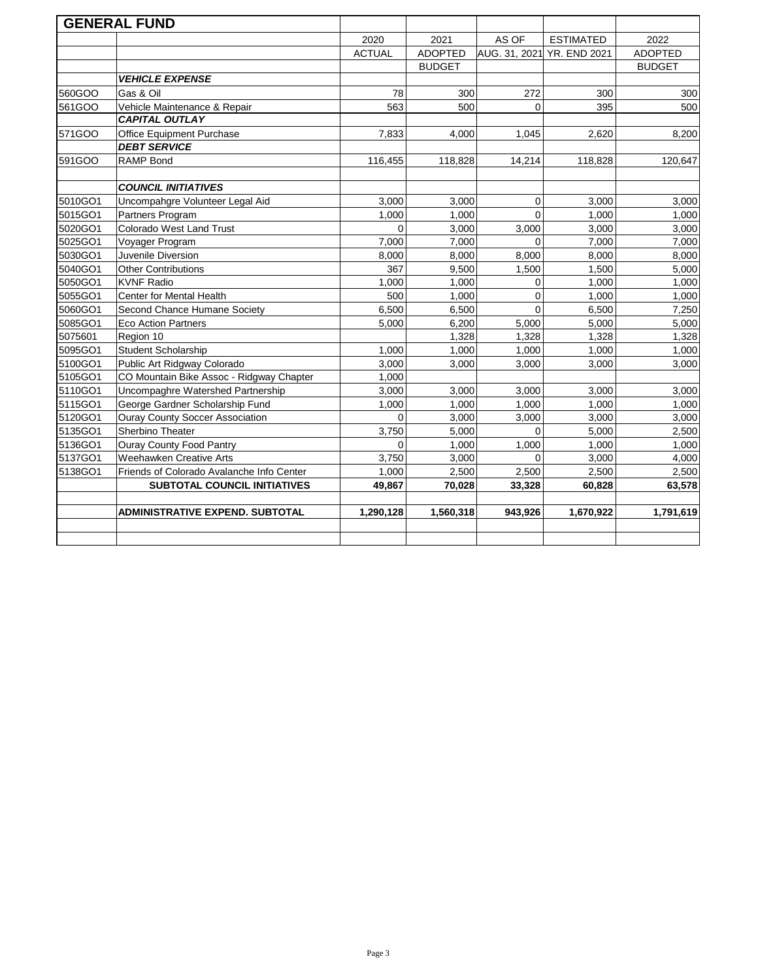|         | <b>GENERAL FUND</b>                       |               |                |          |                            |                |
|---------|-------------------------------------------|---------------|----------------|----------|----------------------------|----------------|
|         |                                           | 2020          | 2021           | AS OF    | <b>ESTIMATED</b>           | 2022           |
|         |                                           | <b>ACTUAL</b> | <b>ADOPTED</b> |          | AUG. 31, 2021 YR. END 2021 | <b>ADOPTED</b> |
|         |                                           |               | <b>BUDGET</b>  |          |                            | <b>BUDGET</b>  |
|         | <b>VEHICLE EXPENSE</b>                    |               |                |          |                            |                |
| 560GOO  | Gas & Oil                                 | 78            | 300            | 272      | 300                        | 300            |
| 561GOO  | Vehicle Maintenance & Repair              | 563           | 500            | $\Omega$ | 395                        | 500            |
|         | <b>CAPITAL OUTLAY</b>                     |               |                |          |                            |                |
| 571GOO  | Office Equipment Purchase                 | 7,833         | 4,000          | 1,045    | 2,620                      | 8,200          |
|         | <b>DEBT SERVICE</b>                       |               |                |          |                            |                |
| 591GOO  | <b>RAMP Bond</b>                          | 116,455       | 118,828        | 14,214   | 118,828                    | 120,647        |
|         | <b>COUNCIL INITIATIVES</b>                |               |                |          |                            |                |
| 5010GO1 | Uncompahgre Volunteer Legal Aid           | 3,000         | 3,000          | $\Omega$ | 3,000                      | 3,000          |
| 5015GO1 | Partners Program                          | 1,000         | 1,000          | $\Omega$ | 1,000                      | 1,000          |
| 5020GO1 | <b>Colorado West Land Trust</b>           | $\Omega$      | 3,000          | 3,000    | 3,000                      | 3,000          |
| 5025GO1 | Voyager Program                           | 7,000         | 7,000          | $\Omega$ | 7,000                      | 7,000          |
| 5030GO1 | Juvenile Diversion                        | 8,000         | 8,000          | 8,000    | 8,000                      | 8,000          |
| 5040GO1 | <b>Other Contributions</b>                | 367           | 9,500          | 1.500    | 1,500                      | 5,000          |
| 5050GO1 | <b>KVNF Radio</b>                         | 1,000         | 1,000          | $\Omega$ | 1,000                      | 1,000          |
| 5055GO1 | Center for Mental Health                  | 500           | 1,000          | $\Omega$ | 1,000                      | 1,000          |
| 5060GO1 | Second Chance Humane Society              | 6,500         | 6,500          | $\Omega$ | 6,500                      | 7,250          |
| 5085GO1 | <b>Eco Action Partners</b>                | 5,000         | 6,200          | 5,000    | 5,000                      | 5,000          |
| 5075601 | Region 10                                 |               | 1.328          | 1.328    | 1.328                      | 1.328          |
| 5095GO1 | <b>Student Scholarship</b>                | 1,000         | 1,000          | 1,000    | 1,000                      | 1,000          |
| 5100GO1 | Public Art Ridgway Colorado               | 3,000         | 3,000          | 3,000    | 3,000                      | 3,000          |
| 5105GO1 | CO Mountain Bike Assoc - Ridgway Chapter  | 1,000         |                |          |                            |                |
| 5110GO1 | Uncompaghre Watershed Partnership         | 3,000         | 3,000          | 3,000    | 3,000                      | 3,000          |
| 5115GO1 | George Gardner Scholarship Fund           | 1,000         | 1,000          | 1,000    | 1,000                      | 1,000          |
| 5120GO1 | <b>Ouray County Soccer Association</b>    | $\Omega$      | 3,000          | 3,000    | 3,000                      | 3,000          |
| 5135GO1 | Sherbino Theater                          | 3,750         | 5,000          | $\Omega$ | 5,000                      | 2,500          |
| 5136GO1 | <b>Ouray County Food Pantry</b>           | $\Omega$      | 1,000          | 1,000    | 1,000                      | 1,000          |
| 5137GO1 | <b>Weehawken Creative Arts</b>            | 3,750         | 3,000          | $\Omega$ | 3,000                      | 4,000          |
| 5138GO1 | Friends of Colorado Avalanche Info Center | 1,000         | 2,500          | 2,500    | 2,500                      | 2,500          |
|         | SUBTOTAL COUNCIL INITIATIVES              | 49,867        | 70,028         | 33,328   | 60,828                     | 63,578         |
|         | <b>ADMINISTRATIVE EXPEND. SUBTOTAL</b>    | 1,290,128     | 1,560,318      | 943,926  | 1,670,922                  | 1,791,619      |
|         |                                           |               |                |          |                            |                |
|         |                                           |               |                |          |                            |                |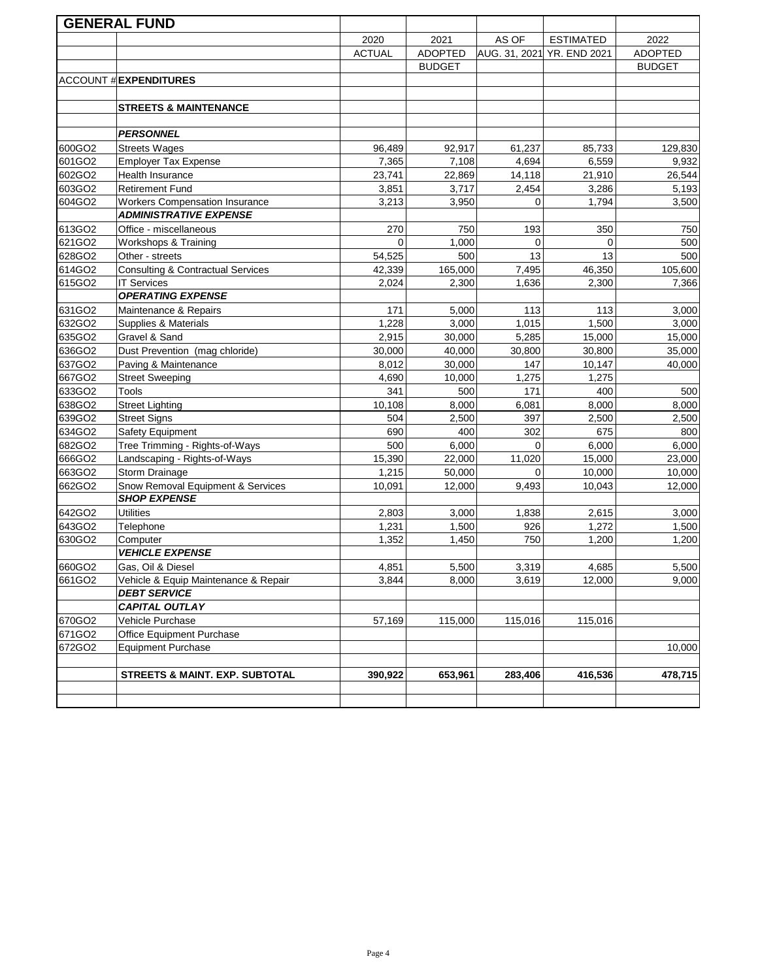|                  | <b>GENERAL FUND</b>                          |               |                |              |                            |                |
|------------------|----------------------------------------------|---------------|----------------|--------------|----------------------------|----------------|
|                  |                                              | 2020          | 2021           | AS OF        | <b>ESTIMATED</b>           | 2022           |
|                  |                                              | <b>ACTUAL</b> | <b>ADOPTED</b> |              | AUG. 31, 2021 YR. END 2021 | <b>ADOPTED</b> |
|                  |                                              |               | <b>BUDGET</b>  |              |                            | <b>BUDGET</b>  |
|                  | <b>ACCOUNT # EXPENDITURES</b>                |               |                |              |                            |                |
|                  |                                              |               |                |              |                            |                |
|                  | <b>STREETS &amp; MAINTENANCE</b>             |               |                |              |                            |                |
|                  |                                              |               |                |              |                            |                |
|                  | <b>PERSONNEL</b>                             |               |                |              |                            |                |
| 600GO2           | <b>Streets Wages</b>                         | 96,489        | 92,917         | 61,237       | 85,733                     | 129,830        |
| 601GO2           | <b>Employer Tax Expense</b>                  | 7,365         | 7,108          | 4,694        | 6,559                      | 9,932          |
| 602GO2           | <b>Health Insurance</b>                      | 23,741        | 22,869         | 14,118       | 21,910                     | 26,544         |
| 603GO2           | <b>Retirement Fund</b>                       | 3,851         | 3,717          | 2,454        | 3,286                      | 5,193          |
| 604GO2           | <b>Workers Compensation Insurance</b>        | 3,213         | 3,950          | $\Omega$     | 1,794                      | 3,500          |
|                  | <b>ADMINISTRATIVE EXPENSE</b>                |               |                |              |                            |                |
| 613GO2           | Office - miscellaneous                       | 270           | 750            | 193          | 350                        | 750            |
| 621GO2           | Workshops & Training                         | $\Omega$      | 1,000          | $\Omega$     | $\Omega$                   | 500            |
| 628GO2           | Other - streets                              | 54,525        | 500            | 13           | 13                         | 500            |
| 614GO2           | <b>Consulting &amp; Contractual Services</b> | 42,339        | 165,000        | 7,495        | 46,350                     | 105,600        |
| 615GO2           | <b>IT Services</b>                           | 2,024         | 2,300          | 1,636        | 2,300                      | 7,366          |
|                  | <b>OPERATING EXPENSE</b>                     |               |                |              |                            |                |
| 631GO2           | Maintenance & Repairs                        | 171           | 5,000          | 113          | 113                        | 3,000          |
| 632GO2           | Supplies & Materials                         | 1,228         | 3,000          | 1,015        | 1,500                      | 3,000          |
| 635GO2           | Gravel & Sand                                | 2,915         | 30,000         | 5,285        | 15,000                     | 15,000         |
| 636GO2           | Dust Prevention (mag chloride)               | 30,000        | 40,000         | 30,800       | 30,800                     | 35,000         |
| 637GO2           | Paving & Maintenance                         | 8,012         | 30,000         | 147          | 10,147                     | 40,000         |
| 667GO2           | <b>Street Sweeping</b><br>Tools              | 4,690         | 10,000         | 1,275        | 1,275                      |                |
| 633GO2<br>638GO2 | <b>Street Lighting</b>                       | 341<br>10,108 | 500<br>8,000   | 171          | 400                        | 500            |
| 639GO2           | <b>Street Signs</b>                          | 504           | 2,500          | 6,081<br>397 | 8,000<br>2,500             | 8,000<br>2,500 |
| 634GO2           | Safety Equipment                             | 690           | 400            | 302          | 675                        | 800            |
| 682GO2           | Tree Trimming - Rights-of-Ways               | 500           | 6,000          | $\mathbf 0$  | 6,000                      | 6,000          |
| 666GO2           | Landscaping - Rights-of-Ways                 | 15,390        | 22,000         | 11,020       | 15,000                     | 23,000         |
| 663GO2           | Storm Drainage                               | 1,215         | 50,000         | 0            | 10,000                     | 10,000         |
| 662GO2           | Snow Removal Equipment & Services            | 10,091        | 12,000         | 9,493        | 10,043                     | 12,000         |
|                  | <b>SHOP EXPENSE</b>                          |               |                |              |                            |                |
| 642GO2           | <b>Utilities</b>                             | 2,803         | 3,000          | 1,838        | 2,615                      | 3,000          |
| 643GO2           | Telephone                                    | 1,231         | 1,500          | 926          | 1,272                      | 1,500          |
| 630GO2           | Computer                                     | 1,352         | 1,450          | 750          | 1,200                      | 1,200          |
|                  | <b>VEHICLE EXPENSE</b>                       |               |                |              |                            |                |
| 660GO2           | Gas, Oil & Diesel                            | 4,851         | 5,500          | 3,319        | 4,685                      | 5,500          |
| 661GO2           | Vehicle & Equip Maintenance & Repair         | 3,844         | 8,000          | 3,619        | 12,000                     | 9,000          |
|                  | <b>DEBT SERVICE</b>                          |               |                |              |                            |                |
|                  | <b>CAPITAL OUTLAY</b>                        |               |                |              |                            |                |
| 670GO2           | Vehicle Purchase                             | 57,169        | 115,000        | 115,016      | 115,016                    |                |
| 671GO2           | Office Equipment Purchase                    |               |                |              |                            |                |
| 672GO2           | <b>Equipment Purchase</b>                    |               |                |              |                            | 10,000         |
|                  |                                              |               |                |              |                            |                |
|                  | <b>STREETS &amp; MAINT. EXP. SUBTOTAL</b>    | 390,922       | 653,961        | 283,406      | 416,536                    | 478,715        |
|                  |                                              |               |                |              |                            |                |
|                  |                                              |               |                |              |                            |                |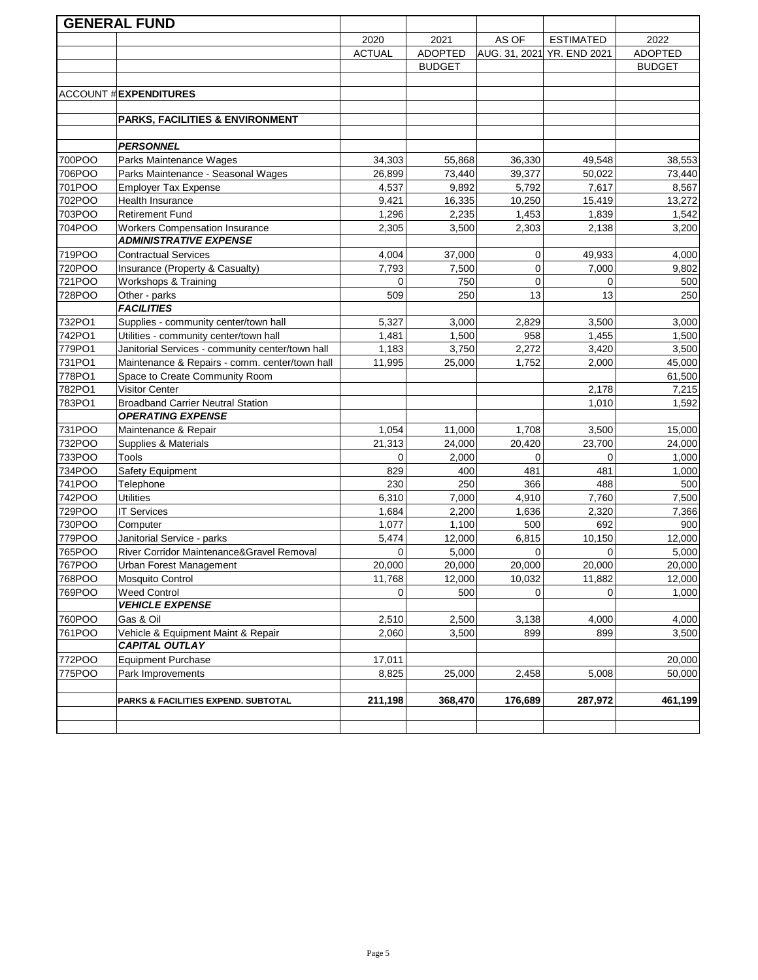|                  | <b>GENERAL FUND</b>                                                     |                |                |               |                     |                 |
|------------------|-------------------------------------------------------------------------|----------------|----------------|---------------|---------------------|-----------------|
|                  |                                                                         | 2020           | 2021           | AS OF         | <b>ESTIMATED</b>    | 2022            |
|                  |                                                                         | <b>ACTUAL</b>  | <b>ADOPTED</b> | AUG. 31, 2021 | <b>YR. END 2021</b> | <b>ADOPTED</b>  |
|                  |                                                                         |                | <b>BUDGET</b>  |               |                     | <b>BUDGET</b>   |
|                  |                                                                         |                |                |               |                     |                 |
|                  | <b>ACCOUNT # EXPENDITURES</b>                                           |                |                |               |                     |                 |
|                  |                                                                         |                |                |               |                     |                 |
|                  | <b>PARKS, FACILITIES &amp; ENVIRONMENT</b>                              |                |                |               |                     |                 |
|                  |                                                                         |                |                |               |                     |                 |
|                  | <b>PERSONNEL</b>                                                        |                |                |               |                     |                 |
| 700POO           | Parks Maintenance Wages                                                 | 34,303         | 55,868         | 36,330        | 49,548              | 38,553          |
| 706POO           | Parks Maintenance - Seasonal Wages                                      | 26,899         | 73,440         | 39,377        | 50,022              | 73,440          |
| 701POO           | <b>Employer Tax Expense</b>                                             | 4,537          | 9,892          | 5,792         | 7,617               | 8,567           |
| 702POO           | Health Insurance                                                        | 9,421          | 16,335         | 10,250        | 15,419              | 13,272          |
| 703POO           | <b>Retirement Fund</b>                                                  | 1,296          | 2,235          | 1,453         | 1,839               | 1,542           |
| 704POO           | <b>Workers Compensation Insurance</b>                                   | 2,305          | 3,500          | 2,303         | 2,138               | 3,200           |
|                  | <b>ADMINISTRATIVE EXPENSE</b>                                           |                |                |               |                     |                 |
| 719POO           | <b>Contractual Services</b>                                             | 4,004          | 37,000         | 0             | 49,933              | 4,000           |
| 720POO           | Insurance (Property & Casualty)                                         | 7,793          | 7,500          | 0             | 7,000               | 9,802           |
| 721POO           | Workshops & Training                                                    | $\Omega$       | 750            | $\mathbf 0$   | $\mathbf 0$         | 500             |
| 728POO           | Other - parks                                                           | 509            | 250            | 13            | 13                  | 250             |
|                  | <b>FACILITIES</b>                                                       |                |                |               |                     |                 |
| 732PO1           | Supplies - community center/town hall                                   | 5,327          | 3,000          | 2,829         | 3,500               | 3,000           |
| 742PO1           | Utilities - community center/town hall                                  | 1,481          | 1,500          | 958           | 1,455               | 1,500           |
| 779PO1           | Janitorial Services - community center/town hall                        | 1,183          | 3,750          | 2,272         | 3,420               | 3,500           |
| 731PO1           | Maintenance & Repairs - comm. center/town hall                          | 11,995         | 25,000         | 1,752         | 2,000               | 45,000          |
| 778PO1           | Space to Create Community Room                                          |                |                |               |                     | 61,500          |
| 782PO1           | <b>Visitor Center</b>                                                   |                |                |               | 2,178               | 7,215           |
| 783PO1           | <b>Broadband Carrier Neutral Station</b>                                |                |                |               | 1,010               | 1,592           |
|                  | <b>OPERATING EXPENSE</b>                                                |                |                |               |                     |                 |
| 731POO           | Maintenance & Repair                                                    | 1,054          | 11,000         | 1,708         | 3,500               | 15,000          |
| 732POO           | Supplies & Materials                                                    | 21,313         | 24,000         | 20,420        | 23,700              | 24,000          |
| 733POO           | <b>Tools</b>                                                            | 0              | 2,000          | 0             | $\mathbf 0$         | 1,000           |
| 734POO           | Safety Equipment                                                        | 829            | 400            | 481           | 481                 | 1,000           |
| 741POO           | Telephone<br><b>Utilities</b>                                           | 230            | 250            | 366           | 488                 | 500             |
| 742POO           |                                                                         | 6,310          | 7,000          | 4,910         | 7,760               | 7,500           |
| 729POO           | <b>IT Services</b>                                                      | 1,684<br>1,077 | 2,200<br>1,100 | 1,636<br>500  | 2,320<br>692        | 7,366           |
| 730POO<br>779POO | Computer                                                                | 5,474          | 12,000         | 6,815         |                     | 900             |
| 765POO           | Janitorial Service - parks<br>River Corridor Maintenance&Gravel Removal | 0              | 5,000          | 0             | 10,150<br>0         | 12,000<br>5,000 |
| 767POO           | Urban Forest Management                                                 | 20,000         | 20,000         | 20,000        | 20,000              | 20,000          |
| 768POO           | Mosquito Control                                                        | 11,768         | 12,000         | 10,032        | 11,882              | 12,000          |
| 769POO           | <b>Weed Control</b>                                                     | $\Omega$       | 500            |               | $\Omega$            | 1,000           |
|                  | <b>VEHICLE EXPENSE</b>                                                  |                |                |               |                     |                 |
| 760POO           | Gas & Oil                                                               | 2,510          | 2,500          | 3,138         | 4,000               | 4,000           |
| 761POO           | Vehicle & Equipment Maint & Repair                                      | 2,060          | 3,500          | 899           | 899                 | 3,500           |
|                  | <b>CAPITAL OUTLAY</b>                                                   |                |                |               |                     |                 |
| 772POO           | <b>Equipment Purchase</b>                                               | 17,011         |                |               |                     | 20,000          |
| 775POO           | Park Improvements                                                       | 8,825          | 25,000         | 2,458         | 5,008               | 50,000          |
|                  |                                                                         |                |                |               |                     |                 |
|                  | PARKS & FACILITIES EXPEND. SUBTOTAL                                     | 211,198        | 368,470        | 176,689       | 287,972             | 461,199         |
|                  |                                                                         |                |                |               |                     |                 |
|                  |                                                                         |                |                |               |                     |                 |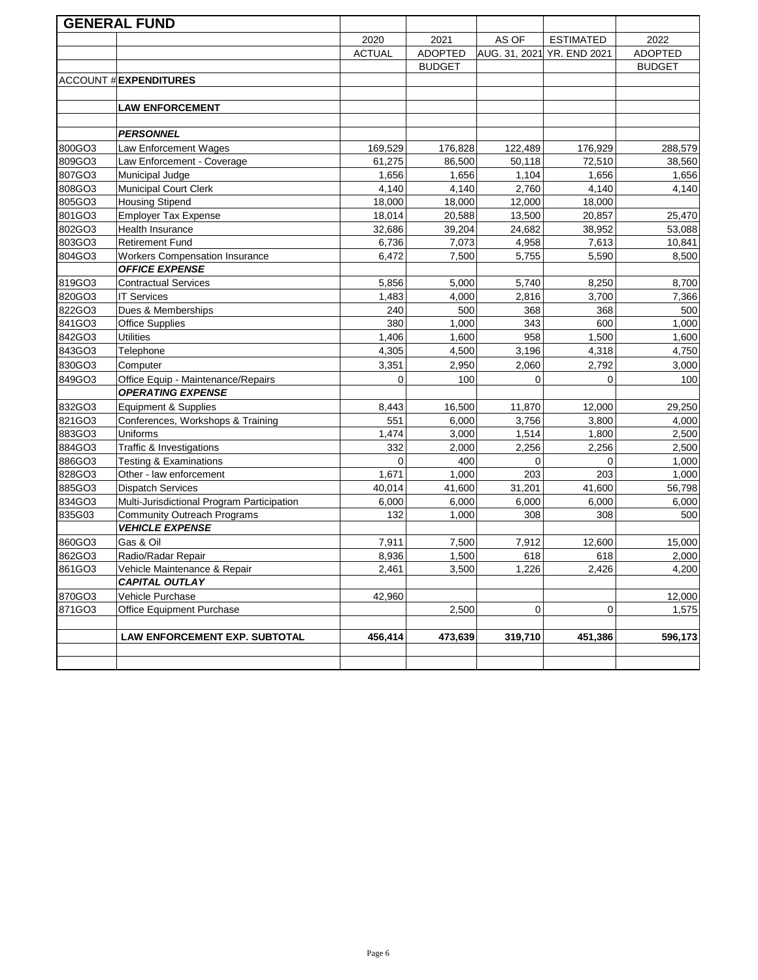|        | <b>GENERAL FUND</b>                        |               |                |               |                     |                |
|--------|--------------------------------------------|---------------|----------------|---------------|---------------------|----------------|
|        |                                            | 2020          | 2021           | AS OF         | <b>ESTIMATED</b>    | 2022           |
|        |                                            | <b>ACTUAL</b> | <b>ADOPTED</b> | AUG. 31, 2021 | <b>YR. END 2021</b> | <b>ADOPTED</b> |
|        |                                            |               | <b>BUDGET</b>  |               |                     | <b>BUDGET</b>  |
|        | <b>ACCOUNT # EXPENDITURES</b>              |               |                |               |                     |                |
|        |                                            |               |                |               |                     |                |
|        | <b>LAW ENFORCEMENT</b>                     |               |                |               |                     |                |
|        |                                            |               |                |               |                     |                |
|        | <b>PERSONNEL</b>                           |               |                |               |                     |                |
| 800GO3 | Law Enforcement Wages                      | 169,529       | 176,828        | 122,489       | 176,929             | 288,579        |
| 809GO3 | Law Enforcement - Coverage                 | 61,275        | 86,500         | 50,118        | 72,510              | 38,560         |
| 807GO3 | Municipal Judge                            | 1,656         | 1,656          | 1,104         | 1,656               | 1,656          |
| 808GO3 | Municipal Court Clerk                      | 4,140         | 4,140          | 2,760         | 4,140               | 4,140          |
| 805GO3 | <b>Housing Stipend</b>                     | 18,000        | 18,000         | 12,000        | 18,000              |                |
| 801GO3 | <b>Employer Tax Expense</b>                | 18,014        | 20,588         | 13,500        | 20,857              | 25,470         |
| 802GO3 | Health Insurance                           | 32,686        | 39,204         | 24,682        | 38,952              | 53,088         |
| 803GO3 | <b>Retirement Fund</b>                     | 6,736         | 7,073          | 4,958         | 7,613               | 10,841         |
| 804GO3 | <b>Workers Compensation Insurance</b>      | 6,472         | 7,500          | 5,755         | 5,590               | 8,500          |
|        | <b>OFFICE EXPENSE</b>                      |               |                |               |                     |                |
| 819GO3 | <b>Contractual Services</b>                | 5,856         | 5,000          | 5,740         | 8,250               | 8,700          |
| 820GO3 | <b>IT Services</b>                         | 1,483         | 4,000          | 2,816         | 3,700               | 7,366          |
| 822GO3 | Dues & Memberships                         | 240           | 500            | 368           | 368                 | 500            |
| 841GO3 | <b>Office Supplies</b>                     | 380           | 1,000          | 343           | 600                 | 1,000          |
| 842GO3 | <b>Utilities</b>                           | 1,406         | 1,600          | 958           | 1,500               | 1,600          |
| 843GO3 | Telephone                                  | 4,305         | 4,500          | 3,196         | 4,318               | 4,750          |
| 830GO3 | Computer                                   | 3,351         | 2,950          | 2,060         | 2,792               | 3,000          |
| 849GO3 | Office Equip - Maintenance/Repairs         | $\Omega$      | 100            | $\Omega$      | $\mathbf 0$         | 100            |
|        | <b>OPERATING EXPENSE</b>                   |               |                |               |                     |                |
| 832GO3 | Equipment & Supplies                       | 8,443         | 16,500         | 11,870        | 12,000              | 29,250         |
| 821GO3 | Conferences, Workshops & Training          | 551           | 6,000          | 3,756         | 3,800               | 4,000          |
| 883GO3 | Uniforms                                   | 1,474         | 3,000          | 1,514         | 1,800               | 2,500          |
| 884GO3 | Traffic & Investigations                   | 332           | 2,000          | 2,256         | 2,256               | 2,500          |
| 886GO3 | <b>Testing &amp; Examinations</b>          | $\Omega$      | 400            | $\Omega$      | $\Omega$            | 1,000          |
| 828GO3 | Other - law enforcement                    | 1,671         | 1,000          | 203           | 203                 | 1,000          |
| 885GO3 | <b>Dispatch Services</b>                   | 40,014        | 41,600         | 31,201        | 41,600              | 56,798         |
| 834GO3 | Multi-Jurisdictional Program Participation | 6,000         | 6,000          | 6,000         | 6,000               | 6,000          |
| 835G03 | <b>Community Outreach Programs</b>         | 132           | 1,000          | 308           | 308                 | 500            |
|        | <b>VEHICLE EXPENSE</b>                     |               |                |               |                     |                |
| 860GO3 | Gas & Oil                                  | 7,911         | 7,500          | 7,912         | 12,600              | 15,000         |
| 862GO3 | Radio/Radar Repair                         | 8,936         | 1,500          | 618           | 618                 | 2,000          |
| 861GO3 | Vehicle Maintenance & Repair               | 2,461         | 3,500          | 1,226         | 2,426               | 4,200          |
|        | <b>CAPITAL OUTLAY</b>                      |               |                |               |                     |                |
| 870GO3 | Vehicle Purchase                           | 42,960        |                |               |                     | 12,000         |
| 871GO3 | <b>Office Equipment Purchase</b>           |               | 2,500          | 0             | $\mathbf 0$         | 1,575          |
|        |                                            |               |                |               |                     |                |
|        | <b>LAW ENFORCEMENT EXP. SUBTOTAL</b>       | 456,414       | 473,639        | 319,710       | 451,386             | 596,173        |
|        |                                            |               |                |               |                     |                |
|        |                                            |               |                |               |                     |                |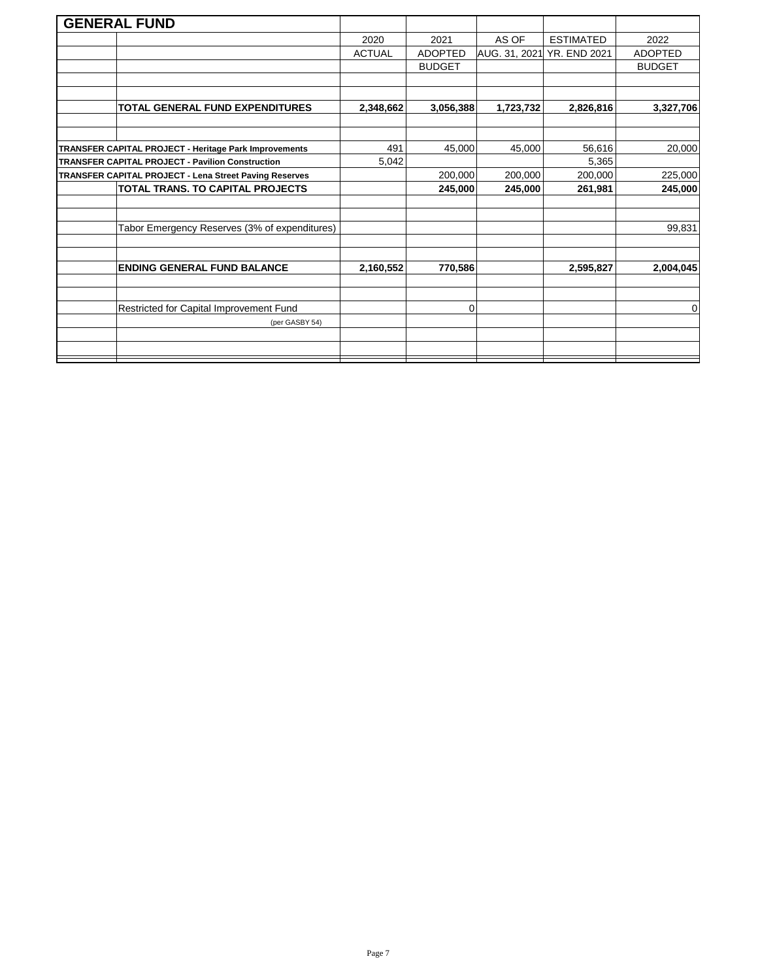|                                                         | <b>GENERAL FUND</b>                                    |               |                |           |                            |                |
|---------------------------------------------------------|--------------------------------------------------------|---------------|----------------|-----------|----------------------------|----------------|
|                                                         |                                                        | 2020          | 2021           | AS OF     | <b>ESTIMATED</b>           | 2022           |
|                                                         |                                                        | <b>ACTUAL</b> | <b>ADOPTED</b> |           | AUG. 31, 2021 YR. END 2021 | <b>ADOPTED</b> |
|                                                         |                                                        |               | <b>BUDGET</b>  |           |                            | <b>BUDGET</b>  |
|                                                         |                                                        |               |                |           |                            |                |
|                                                         |                                                        |               |                |           |                            |                |
|                                                         | <b>TOTAL GENERAL FUND EXPENDITURES</b>                 | 2,348,662     | 3,056,388      | 1,723,732 | 2,826,816                  | 3,327,706      |
|                                                         |                                                        |               |                |           |                            |                |
|                                                         |                                                        |               |                |           |                            |                |
|                                                         | TRANSFER CAPITAL PROJECT - Heritage Park Improvements  | 491           | 45,000         | 45,000    | 56,616                     | 20,000         |
| <b>TRANSFER CAPITAL PROJECT - Pavilion Construction</b> |                                                        | 5,042         |                |           | 5,365                      |                |
|                                                         | TRANSFER CAPITAL PROJECT - Lena Street Paving Reserves |               | 200,000        | 200,000   | 200,000                    | 225,000        |
|                                                         | TOTAL TRANS. TO CAPITAL PROJECTS                       |               | 245,000        | 245,000   | 261,981                    | 245,000        |
|                                                         |                                                        |               |                |           |                            |                |
|                                                         |                                                        |               |                |           |                            |                |
|                                                         | Tabor Emergency Reserves (3% of expenditures)          |               |                |           |                            | 99,831         |
|                                                         |                                                        |               |                |           |                            |                |
|                                                         |                                                        |               |                |           |                            |                |
|                                                         | <b>ENDING GENERAL FUND BALANCE</b>                     | 2,160,552     | 770,586        |           | 2,595,827                  | 2,004,045      |
|                                                         |                                                        |               |                |           |                            |                |
|                                                         |                                                        |               |                |           |                            |                |
|                                                         | Restricted for Capital Improvement Fund                |               | 0              |           |                            | 0              |
|                                                         | (per GASBY 54)                                         |               |                |           |                            |                |
|                                                         |                                                        |               |                |           |                            |                |
|                                                         |                                                        |               |                |           |                            |                |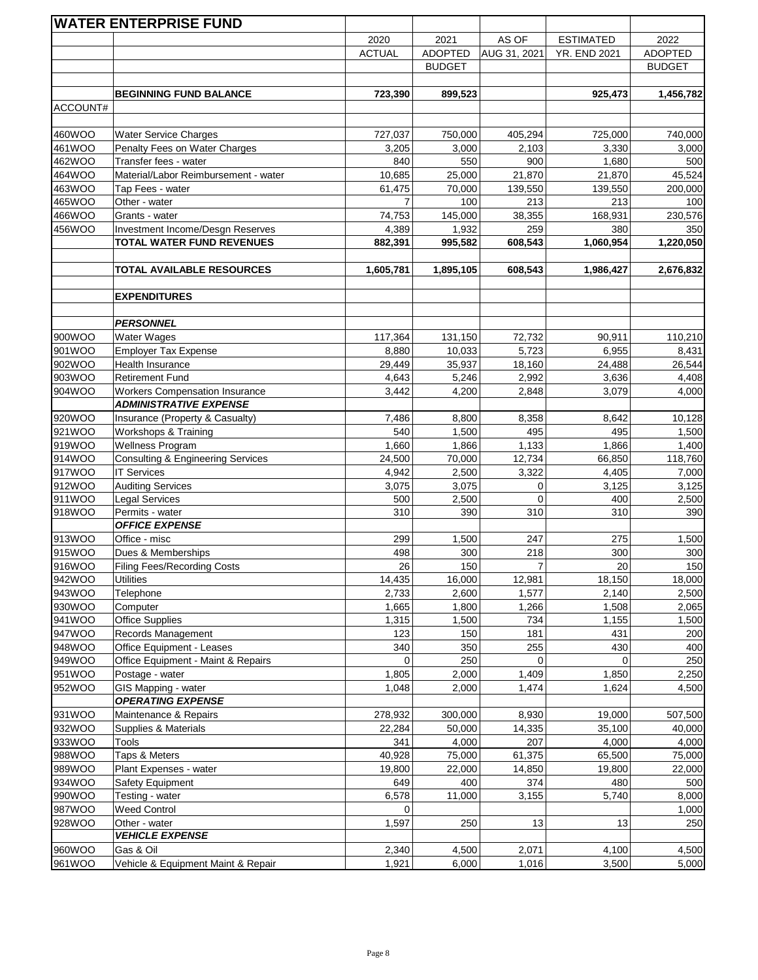|                  | <b>WATER ENTERPRISE FUND</b>                                    |               |                |                |                     |                |
|------------------|-----------------------------------------------------------------|---------------|----------------|----------------|---------------------|----------------|
|                  |                                                                 | 2020          | 2021           | AS OF          | <b>ESTIMATED</b>    | 2022           |
|                  |                                                                 | <b>ACTUAL</b> | <b>ADOPTED</b> | AUG 31, 2021   | <b>YR. END 2021</b> | <b>ADOPTED</b> |
|                  |                                                                 |               | <b>BUDGET</b>  |                |                     | <b>BUDGET</b>  |
|                  |                                                                 |               |                |                |                     |                |
|                  | <b>BEGINNING FUND BALANCE</b>                                   | 723,390       | 899,523        |                | 925,473             | 1,456,782      |
| ACCOUNT#         |                                                                 |               |                |                |                     |                |
|                  |                                                                 |               |                |                |                     |                |
| 460WOO           | <b>Water Service Charges</b>                                    | 727,037       | 750,000        | 405,294        | 725,000             | 740,000        |
| 461WOO           | Penalty Fees on Water Charges                                   | 3,205         | 3,000          | 2,103          | 3,330               | 3,000          |
| 462WOO           | Transfer fees - water                                           | 840           | 550            | 900            | 1,680               | 500            |
| 464WOO           | Material/Labor Reimbursement - water                            | 10,685        | 25,000         | 21,870         | 21,870              | 45,524         |
| 463WOO           | Tap Fees - water                                                | 61,475        | 70,000         | 139,550        | 139,550             | 200,000        |
| 465WOO           | Other - water                                                   | 7             | 100            | 213            | 213                 | 100            |
| 466WOO           | Grants - water                                                  | 74,753        | 145,000        | 38,355         | 168,931             | 230,576        |
| 456WOO           | Investment Income/Desgn Reserves                                | 4,389         | 1,932          | 259            | 380                 | 350            |
|                  | <b>TOTAL WATER FUND REVENUES</b>                                | 882,391       | 995,582        | 608,543        | 1,060,954           | 1,220,050      |
|                  |                                                                 |               |                |                |                     |                |
|                  | TOTAL AVAILABLE RESOURCES                                       | 1,605,781     | 1,895,105      | 608,543        | 1,986,427           | 2,676,832      |
|                  |                                                                 |               |                |                |                     |                |
|                  | <b>EXPENDITURES</b>                                             |               |                |                |                     |                |
|                  |                                                                 |               |                |                |                     |                |
|                  | <b>PERSONNEL</b>                                                |               |                |                |                     |                |
| 900WOO           | Water Wages                                                     | 117,364       | 131,150        | 72,732         | 90,911              | 110,210        |
| 901WOO           | <b>Employer Tax Expense</b>                                     | 8,880         | 10,033         | 5,723          | 6,955               | 8,431          |
| 902WOO           | Health Insurance                                                | 29,449        | 35,937         | 18,160         | 24,488              | 26,544         |
| 903WOO           | <b>Retirement Fund</b>                                          | 4,643         | 5,246          | 2,992          | 3,636               | 4,408          |
| 904WOO           | <b>Workers Compensation Insurance</b>                           | 3,442         | 4,200          | 2,848          | 3,079               | 4,000          |
|                  | <b>ADMINISTRATIVE EXPENSE</b>                                   |               |                |                |                     |                |
| 920WOO           | Insurance (Property & Casualty)                                 | 7,486         | 8,800          | 8,358          | 8,642               | 10,128         |
| 921WOO           | Workshops & Training                                            | 540           | 1,500          | 495            | 495                 | 1,500          |
| 919WOO           | Wellness Program                                                | 1,660         | 1,866          | 1,133          | 1,866               | 1,400          |
| 914WOO           | <b>Consulting &amp; Engineering Services</b>                    | 24,500        | 70,000         | 12,734         | 66,850              | 118,760        |
| 917WOO           | <b>IT Services</b>                                              | 4,942         | 2,500          | 3,322          | 4,405               | 7,000          |
| 912WOO           | <b>Auditing Services</b>                                        | 3,075         | 3,075          | 0              | 3,125               | 3,125          |
| 911WOO           | <b>Legal Services</b>                                           | 500           | 2,500          | $\Omega$       | 400                 | 2,500          |
| 918WOO           | Permits - water                                                 | 310           | 390            | 310            | 310                 | 390            |
|                  | <b>OFFICE EXPENSE</b>                                           |               |                |                |                     |                |
| 913WOO           | Office - misc                                                   | 299           | 1,500          | 247            | 275                 | 1,500          |
| 915WOO           | Dues & Memberships                                              | 498           | 300            | 218            | 300                 | 300            |
| 916WOO           | <b>Filing Fees/Recording Costs</b>                              | 26            | 150            | $\overline{7}$ | 20                  | 150            |
| 942WOO           | <b>Utilities</b>                                                | 14,435        | 16,000         | 12,981         | 18,150              | 18,000         |
| 943WOO           | Telephone                                                       | 2,733         | 2,600          | 1,577          | 2,140               | 2,500          |
| 930WOO           | Computer                                                        | 1,665         | 1,800          | 1,266          | 1,508               | 2,065          |
| 941WOO           | <b>Office Supplies</b>                                          | 1,315         | 1,500          | 734            | 1,155               | 1,500          |
| 947WOO           | Records Management                                              | 123           | 150            | 181            | 431<br>430          | 200            |
| 948WOO<br>949WOO | Office Equipment - Leases<br>Office Equipment - Maint & Repairs | 340<br>0      | 350<br>250     | 255<br>0       | $\Omega$            | 400<br>250     |
| 951WOO           | Postage - water                                                 | 1,805         | 2,000          | 1,409          | 1,850               | 2,250          |
| 952WOO           | GIS Mapping - water                                             | 1,048         | 2,000          | 1,474          | 1,624               | 4,500          |
|                  | <b>OPERATING EXPENSE</b>                                        |               |                |                |                     |                |
| 931WOO           | Maintenance & Repairs                                           | 278,932       | 300,000        | 8,930          | 19,000              | 507,500        |
| 932WOO           | Supplies & Materials                                            | 22,284        | 50,000         | 14,335         | 35,100              | 40,000         |
| 933WOO           | Tools                                                           | 341           | 4,000          | 207            | 4,000               | 4,000          |
| 988WOO           | Taps & Meters                                                   | 40,928        | 75,000         | 61,375         | 65,500              | 75,000         |
| 989WOO           | Plant Expenses - water                                          | 19,800        | 22,000         | 14,850         | 19,800              | 22,000         |
| 934WOO           | Safety Equipment                                                | 649           | 400            | 374            | 480                 | 500            |
| 990WOO           | Testing - water                                                 | 6,578         | 11,000         | 3,155          | 5,740               | 8,000          |
| 987WOO           | <b>Weed Control</b>                                             | 0             |                |                |                     | 1,000          |
| 928WOO           | Other - water                                                   | 1,597         | 250            | 13             | 13                  | 250            |
|                  | <b>VEHICLE EXPENSE</b>                                          |               |                |                |                     |                |
| 960WOO           | Gas & Oil                                                       | 2,340         | 4,500          | 2,071          | 4,100               | 4,500          |
| 961WOO           | Vehicle & Equipment Maint & Repair                              | 1,921         | 6,000          | 1,016          | 3,500               | 5,000          |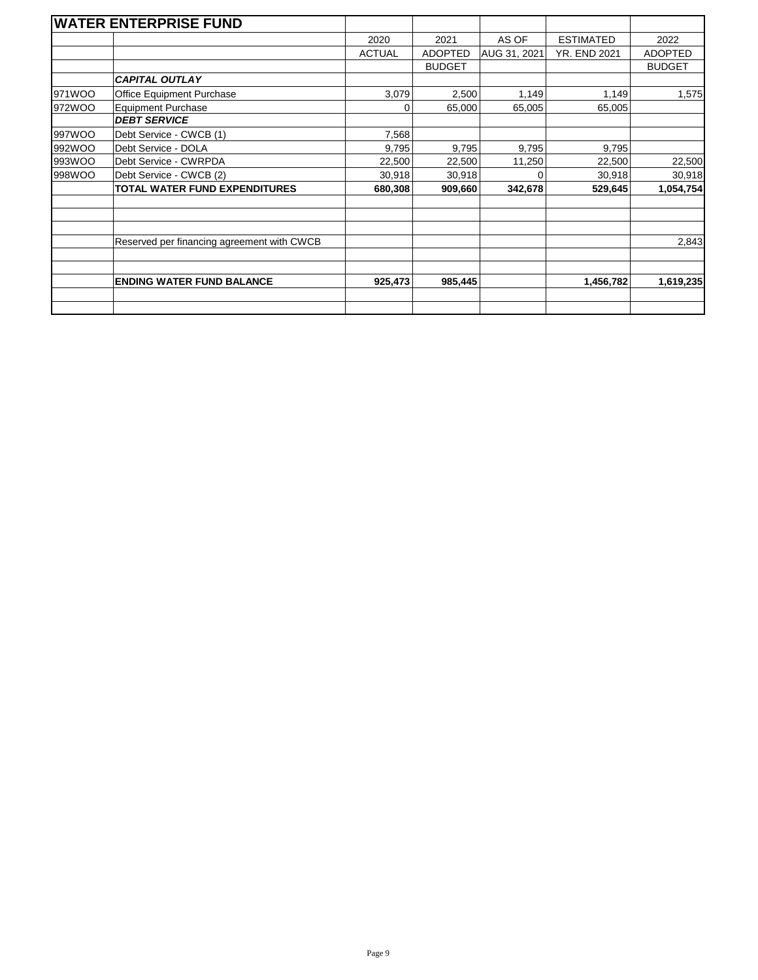|        | <b>WATER ENTERPRISE FUND</b>               |               |                |              |                     |                |
|--------|--------------------------------------------|---------------|----------------|--------------|---------------------|----------------|
|        |                                            | 2020          | 2021           | AS OF        | <b>ESTIMATED</b>    | 2022           |
|        |                                            | <b>ACTUAL</b> | <b>ADOPTED</b> | AUG 31, 2021 | <b>YR. END 2021</b> | <b>ADOPTED</b> |
|        |                                            |               | <b>BUDGET</b>  |              |                     | <b>BUDGET</b>  |
|        | <b>CAPITAL OUTLAY</b>                      |               |                |              |                     |                |
| 971WOO | Office Equipment Purchase                  | 3,079         | 2,500          | 1,149        | 1,149               | 1,575          |
| 972WOO | <b>Equipment Purchase</b>                  | 0             | 65,000         | 65,005       | 65,005              |                |
|        | <b>DEBT SERVICE</b>                        |               |                |              |                     |                |
| 997WOO | Debt Service - CWCB (1)                    | 7,568         |                |              |                     |                |
| 992WOO | Debt Service - DOLA                        | 9,795         | 9,795          | 9,795        | 9,795               |                |
| 993WOO | Debt Service - CWRPDA                      | 22,500        | 22,500         | 11,250       | 22,500              | 22,500         |
| 998WOO | Debt Service - CWCB (2)                    | 30,918        | 30,918         | 0            | 30,918              | 30,918         |
|        | <b>TOTAL WATER FUND EXPENDITURES</b>       | 680,308       | 909,660        | 342,678      | 529,645             | 1,054,754      |
|        |                                            |               |                |              |                     |                |
|        | Reserved per financing agreement with CWCB |               |                |              |                     | 2,843          |
|        |                                            |               |                |              |                     |                |
|        | <b>ENDING WATER FUND BALANCE</b>           | 925,473       | 985,445        |              | 1,456,782           | 1,619,235      |
|        |                                            |               |                |              |                     |                |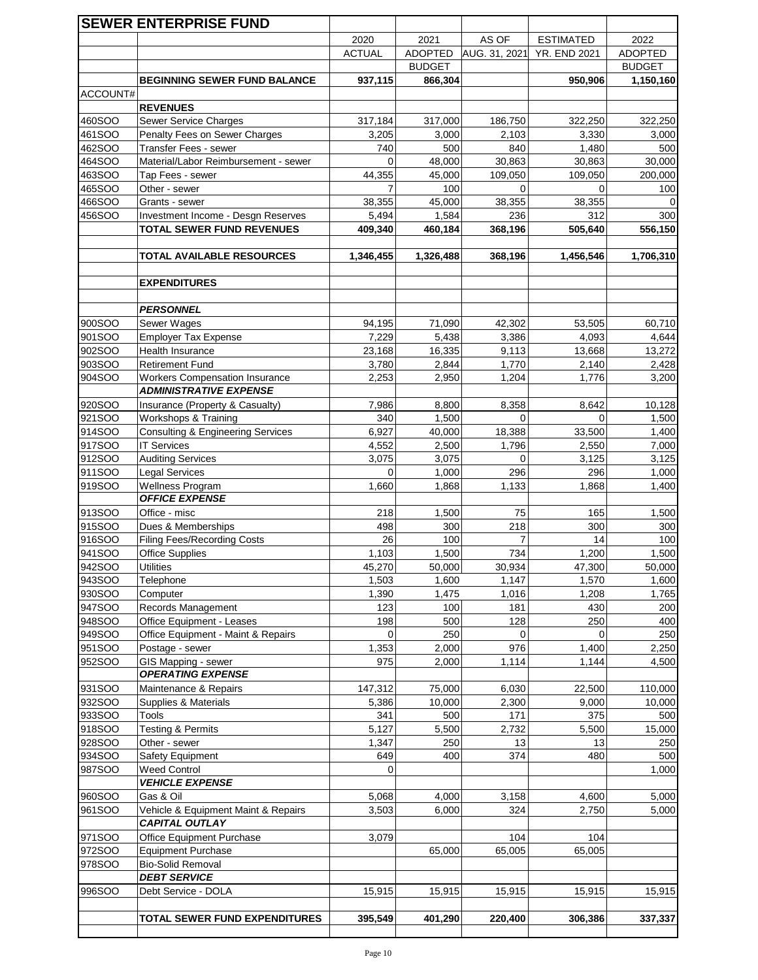|                  | <b>SEWER ENTERPRISE FUND</b>                             |                 |                |                   |                     |                |
|------------------|----------------------------------------------------------|-----------------|----------------|-------------------|---------------------|----------------|
|                  |                                                          | 2020            | 2021           | AS OF             | <b>ESTIMATED</b>    | 2022           |
|                  |                                                          | <b>ACTUAL</b>   | <b>ADOPTED</b> | AUG. 31, 2021     | <b>YR. END 2021</b> | <b>ADOPTED</b> |
|                  |                                                          |                 | <b>BUDGET</b>  |                   |                     | <b>BUDGET</b>  |
|                  | <b>BEGINNING SEWER FUND BALANCE</b>                      | 937,115         | 866,304        |                   | 950,906             | 1,150,160      |
| ACCOUNT#         |                                                          |                 |                |                   |                     |                |
|                  | <b>REVENUES</b>                                          |                 |                |                   |                     |                |
| 460SOO           | <b>Sewer Service Charges</b>                             | 317,184         | 317,000        | 186,750           | 322,250             | 322,250        |
| 461SOO           | Penalty Fees on Sewer Charges                            | 3,205           | 3,000          | 2,103             | 3,330               | 3,000          |
| 462SOO<br>464SOO | Transfer Fees - sewer                                    | 740<br>$\Omega$ | 500<br>48,000  | 840               | 1,480<br>30,863     | 500<br>30,000  |
| 463SOO           | Material/Labor Reimbursement - sewer<br>Tap Fees - sewer | 44,355          | 45,000         | 30,863<br>109,050 | 109,050             | 200,000        |
| 465SOO           | Other - sewer                                            | 7               | 100            | 0                 | 0                   | 100            |
| 466SOO           | Grants - sewer                                           | 38,355          | 45,000         | 38,355            | 38,355              | 0              |
| 456SOO           | Investment Income - Desgn Reserves                       | 5,494           | 1,584          | 236               | 312                 | 300            |
|                  | <b>TOTAL SEWER FUND REVENUES</b>                         | 409,340         | 460,184        | 368,196           | 505,640             | 556,150        |
|                  |                                                          |                 |                |                   |                     |                |
|                  | TOTAL AVAILABLE RESOURCES                                | 1,346,455       | 1,326,488      | 368,196           | 1,456,546           | 1,706,310      |
|                  |                                                          |                 |                |                   |                     |                |
|                  | <b>EXPENDITURES</b>                                      |                 |                |                   |                     |                |
|                  | <b>PERSONNEL</b>                                         |                 |                |                   |                     |                |
| 900SOO           | Sewer Wages                                              | 94,195          | 71,090         | 42,302            | 53,505              | 60,710         |
| 901SOO           | <b>Employer Tax Expense</b>                              | 7,229           | 5,438          | 3,386             | 4,093               | 4,644          |
| 902SOO           | Health Insurance                                         | 23,168          | 16,335         | 9,113             | 13,668              | 13,272         |
| 903SOO           | <b>Retirement Fund</b>                                   | 3,780           | 2,844          | 1,770             | 2,140               | 2,428          |
| 904SOO           | <b>Workers Compensation Insurance</b>                    | 2,253           | 2,950          | 1,204             | 1,776               | 3,200          |
|                  | <b>ADMINISTRATIVE EXPENSE</b>                            |                 |                |                   |                     |                |
| 920SOO           | Insurance (Property & Casualty)                          | 7,986           | 8,800          | 8,358             | 8,642               | 10,128         |
| <b>921SOO</b>    | Workshops & Training                                     | 340             | 1,500          | 0                 | 0                   | 1,500          |
| 914SOO           | <b>Consulting &amp; Engineering Services</b>             | 6,927           | 40,000         | 18,388            | 33,500              | 1,400          |
| 917SOO           | <b>IT Services</b>                                       | 4,552           | 2,500          | 1,796             | 2,550               | 7,000          |
| 912SOO           | <b>Auditing Services</b>                                 | 3,075           | 3,075          | 0                 | 3,125               | 3,125          |
| 911SOO           | Legal Services                                           | 0               | 1,000          | 296               | 296                 | 1,000          |
| 919SOO           | <b>Wellness Program</b><br><b>OFFICE EXPENSE</b>         | 1,660           | 1,868          | 1,133             | 1,868               | 1,400          |
| 913SOO           | Office - misc                                            | 218             | 1,500          | 75                | 165                 | 1,500          |
| 915SOO           | Dues & Memberships                                       | 498             | 300            | 218               | 300                 | 300            |
| 916SOO           | <b>Filing Fees/Recording Costs</b>                       | 26              | 100            | 7                 | 14                  | 100            |
| 941SOO           | <b>Office Supplies</b>                                   | 1,103           | 1,500          | 734               | 1,200               | 1,500          |
| 942SOO           | <b>Utilities</b>                                         | 45,270          | 50,000         | 30,934            | 47,300              | 50,000         |
| 943SOO           | Telephone                                                | 1,503           | 1,600          | 1,147             | 1,570               | 1,600          |
| 930SOO           | Computer                                                 | 1,390           | 1,475          | 1,016             | 1,208               | 1,765          |
| 947SOO           | Records Management                                       | 123             | 100            | 181               | 430                 | 200            |
| 948SOO           | Office Equipment - Leases                                | 198             | 500            | 128               | 250                 | 400            |
| 949SOO           | Office Equipment - Maint & Repairs                       | 0               | 250            | 0                 | 0                   | 250            |
| 951SOO           | Postage - sewer                                          | 1,353           | 2,000          | 976               | 1,400               | 2,250          |
| 952SOO           | GIS Mapping - sewer<br><b>OPERATING EXPENSE</b>          | 975             | 2,000          | 1,114             | 1,144               | 4,500          |
| 931SOO           | Maintenance & Repairs                                    | 147,312         | 75,000         | 6,030             | 22,500              | 110,000        |
| 932SOO           | Supplies & Materials                                     | 5,386           | 10,000         | 2,300             | 9,000               | 10,000         |
| 933SOO           | Tools                                                    | 341             | 500            | 171               | 375                 | 500            |
| 918SOO           | Testing & Permits                                        | 5,127           | 5,500          | 2,732             | 5,500               | 15,000         |
| 928SOO           | Other - sewer                                            | 1,347           | 250            | 13                | 13                  | 250            |
| 934SOO           | Safety Equipment                                         | 649             | 400            | 374               | 480                 | 500            |
| <b>987SOO</b>    | <b>Weed Control</b>                                      | $\Omega$        |                |                   |                     | 1,000          |
|                  | <b>VEHICLE EXPENSE</b>                                   |                 |                |                   |                     |                |
| 960SOO           | Gas & Oil                                                | 5,068           | 4,000          | 3,158             | 4,600               | 5,000          |
| 961SOO           | Vehicle & Equipment Maint & Repairs                      | 3,503           | 6,000          | 324               | 2,750               | 5,000          |
|                  | CAPITAL OUTLAY                                           |                 |                |                   |                     |                |
| 971SOO           | Office Equipment Purchase                                | 3,079           |                | 104               | 104                 |                |
| 972SOO<br>978SOO | <b>Equipment Purchase</b><br><b>Bio-Solid Removal</b>    |                 | 65,000         | 65,005            | 65,005              |                |
|                  | <b>DEBT SERVICE</b>                                      |                 |                |                   |                     |                |
| 996SOO           | Debt Service - DOLA                                      | 15,915          | 15,915         | 15,915            | 15,915              | 15,915         |
|                  |                                                          |                 |                |                   |                     |                |
|                  | TOTAL SEWER FUND EXPENDITURES                            | 395,549         | 401,290        | 220,400           | 306,386             | 337,337        |
|                  |                                                          |                 |                |                   |                     |                |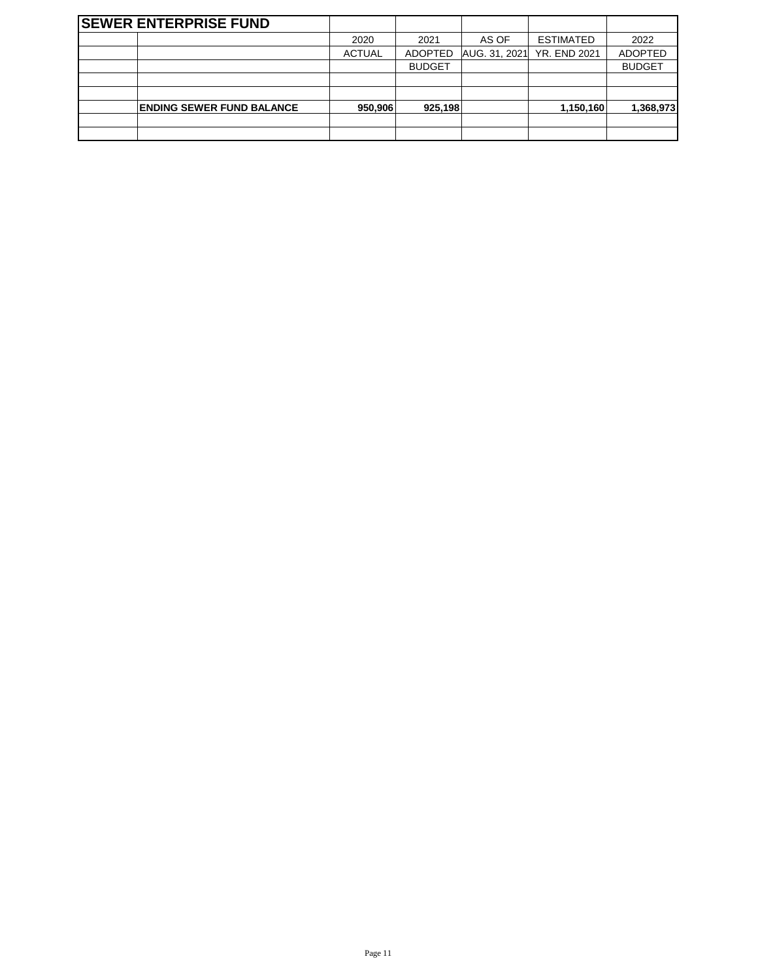| <b>SEWER ENTERPRISE FUND</b>     |               |                |               |                     |                |
|----------------------------------|---------------|----------------|---------------|---------------------|----------------|
|                                  | 2020          | 2021           | AS OF         | <b>ESTIMATED</b>    | 2022           |
|                                  | <b>ACTUAL</b> | <b>ADOPTED</b> | AUG. 31, 2021 | <b>YR. END 2021</b> | <b>ADOPTED</b> |
|                                  |               | <b>BUDGET</b>  |               |                     | <b>BUDGET</b>  |
|                                  |               |                |               |                     |                |
|                                  |               |                |               |                     |                |
| <b>ENDING SEWER FUND BALANCE</b> | 950,906       | 925,198        |               | 1,150,160           | 1,368,973      |
|                                  |               |                |               |                     |                |
|                                  |               |                |               |                     |                |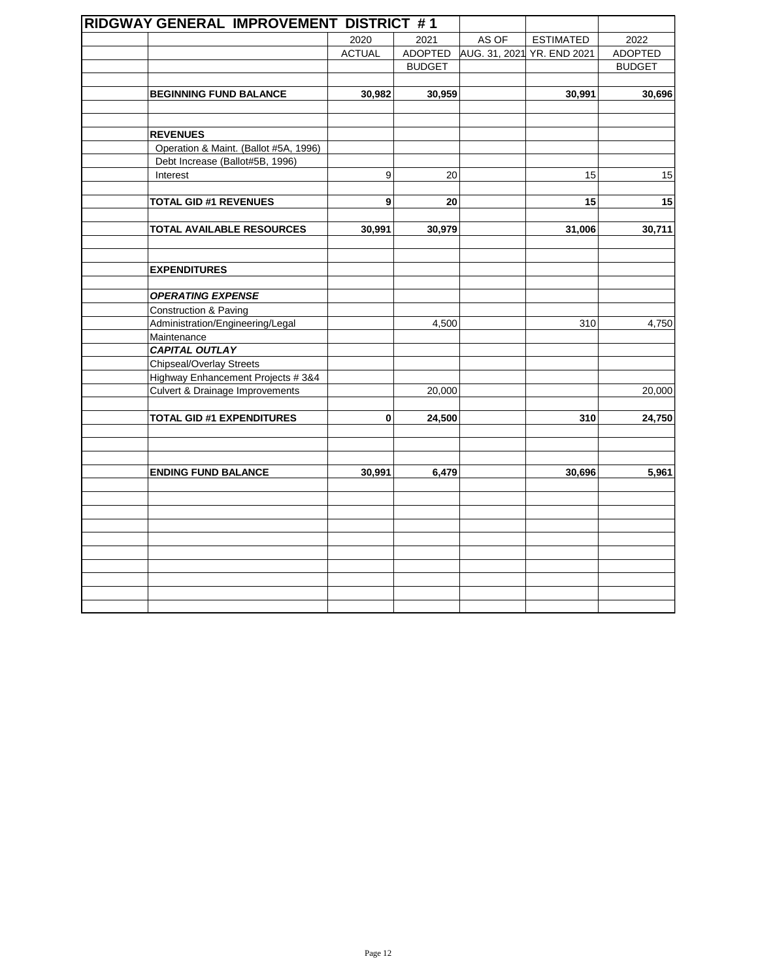| RIDGWAY GENERAL IMPROVEMENT DISTRICT #1    |               |                |       |                            |               |
|--------------------------------------------|---------------|----------------|-------|----------------------------|---------------|
|                                            | 2020          | 2021           | AS OF | <b>ESTIMATED</b>           | 2022          |
|                                            | <b>ACTUAL</b> | <b>ADOPTED</b> |       | AUG. 31, 2021 YR. END 2021 | ADOPTED       |
|                                            |               | <b>BUDGET</b>  |       |                            | <b>BUDGET</b> |
|                                            |               |                |       |                            |               |
| <b>BEGINNING FUND BALANCE</b>              | 30,982        | 30,959         |       | 30,991                     | 30,696        |
|                                            |               |                |       |                            |               |
|                                            |               |                |       |                            |               |
| <b>REVENUES</b>                            |               |                |       |                            |               |
| Operation & Maint. (Ballot #5A, 1996)      |               |                |       |                            |               |
| Debt Increase (Ballot#5B, 1996)            |               |                |       |                            |               |
| Interest                                   | 9             | 20             |       | 15                         | 15            |
|                                            |               |                |       |                            |               |
| <b>TOTAL GID #1 REVENUES</b>               | 9             | 20             |       | 15                         | 15            |
| <b>TOTAL AVAILABLE RESOURCES</b>           |               | 30,979         |       |                            | 30,711        |
|                                            | 30,991        |                |       | 31,006                     |               |
|                                            |               |                |       |                            |               |
| <b>EXPENDITURES</b>                        |               |                |       |                            |               |
|                                            |               |                |       |                            |               |
| <b>OPERATING EXPENSE</b>                   |               |                |       |                            |               |
| <b>Construction &amp; Paving</b>           |               |                |       |                            |               |
| Administration/Engineering/Legal           |               | 4,500          |       | 310                        | 4,750         |
| Maintenance                                |               |                |       |                            |               |
| <b>CAPITAL OUTLAY</b>                      |               |                |       |                            |               |
| <b>Chipseal/Overlay Streets</b>            |               |                |       |                            |               |
| Highway Enhancement Projects #3&4          |               |                |       |                            |               |
| <b>Culvert &amp; Drainage Improvements</b> |               | 20,000         |       |                            | 20,000        |
|                                            |               |                |       |                            |               |
| <b>TOTAL GID #1 EXPENDITURES</b>           | 0             | 24,500         |       | 310                        | 24,750        |
|                                            |               |                |       |                            |               |
|                                            |               |                |       |                            |               |
| <b>ENDING FUND BALANCE</b>                 | 30,991        | 6,479          |       | 30,696                     | 5,961         |
|                                            |               |                |       |                            |               |
|                                            |               |                |       |                            |               |
|                                            |               |                |       |                            |               |
|                                            |               |                |       |                            |               |
|                                            |               |                |       |                            |               |
|                                            |               |                |       |                            |               |
|                                            |               |                |       |                            |               |
|                                            |               |                |       |                            |               |
|                                            |               |                |       |                            |               |
|                                            |               |                |       |                            |               |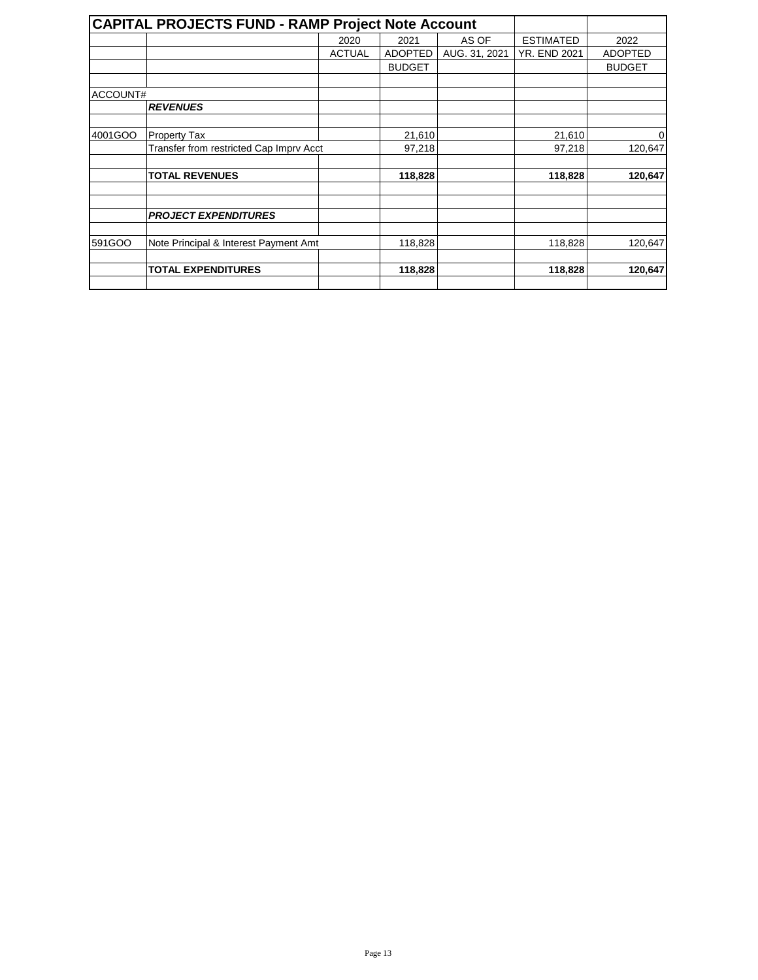|          | <b>CAPITAL PROJECTS FUND - RAMP Project Note Account</b> |               |                |               |                     |                |
|----------|----------------------------------------------------------|---------------|----------------|---------------|---------------------|----------------|
|          |                                                          | 2020          | 2021           | AS OF         | <b>ESTIMATED</b>    | 2022           |
|          |                                                          | <b>ACTUAL</b> | <b>ADOPTED</b> | AUG. 31, 2021 | <b>YR. END 2021</b> | <b>ADOPTED</b> |
|          |                                                          |               | <b>BUDGET</b>  |               |                     | <b>BUDGET</b>  |
|          |                                                          |               |                |               |                     |                |
| ACCOUNT# |                                                          |               |                |               |                     |                |
|          | <b>REVENUES</b>                                          |               |                |               |                     |                |
| 4001GOO  | <b>Property Tax</b>                                      |               | 21,610         |               | 21,610              | $\overline{0}$ |
|          | Transfer from restricted Cap Imprv Acct                  |               | 97,218         |               | 97,218              | 120,647        |
|          | <b>TOTAL REVENUES</b>                                    |               | 118,828        |               | 118,828             | 120,647        |
|          | <b>PROJECT EXPENDITURES</b>                              |               |                |               |                     |                |
| 591GOO   | Note Principal & Interest Payment Amt                    |               | 118,828        |               | 118,828             | 120,647        |
|          | <b>TOTAL EXPENDITURES</b>                                |               | 118,828        |               | 118,828             | 120,647        |
|          |                                                          |               |                |               |                     |                |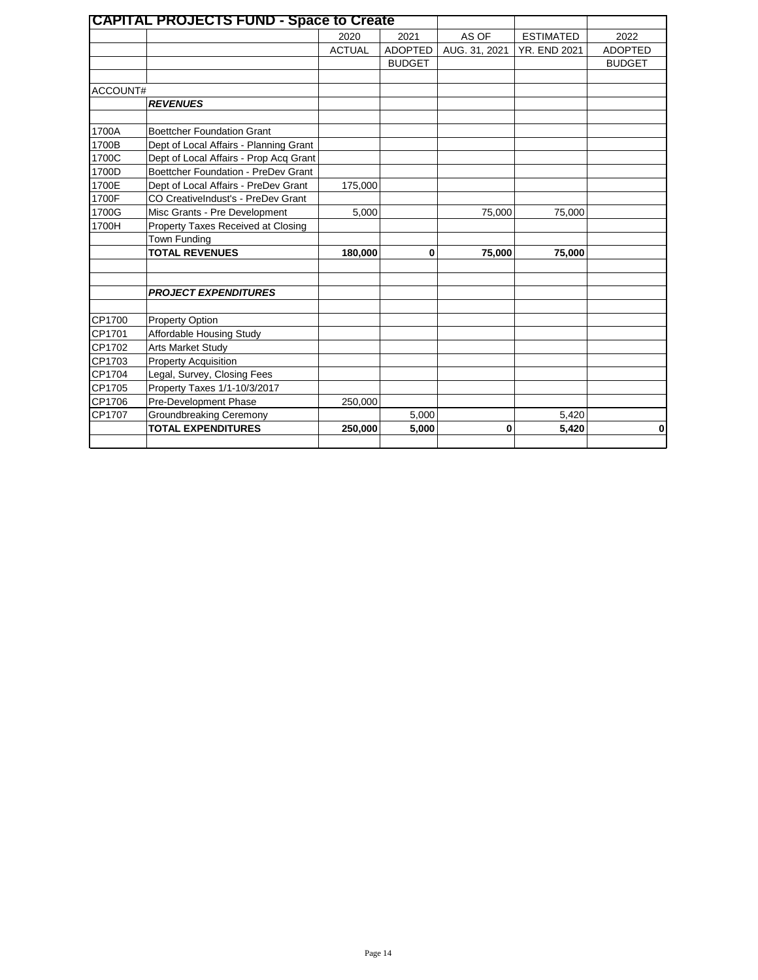|          | <b>CAPITAL PROJECTS FUND - Space to Create</b> |               |                |               |                     |                |
|----------|------------------------------------------------|---------------|----------------|---------------|---------------------|----------------|
|          |                                                | 2020          | 2021           | AS OF         | <b>ESTIMATED</b>    | 2022           |
|          |                                                | <b>ACTUAL</b> | <b>ADOPTED</b> | AUG. 31, 2021 | <b>YR. END 2021</b> | <b>ADOPTED</b> |
|          |                                                |               | <b>BUDGET</b>  |               |                     | <b>BUDGET</b>  |
|          |                                                |               |                |               |                     |                |
| ACCOUNT# |                                                |               |                |               |                     |                |
|          | <b>REVENUES</b>                                |               |                |               |                     |                |
|          |                                                |               |                |               |                     |                |
| 1700A    | <b>Boettcher Foundation Grant</b>              |               |                |               |                     |                |
| 1700B    | Dept of Local Affairs - Planning Grant         |               |                |               |                     |                |
| 1700C    | Dept of Local Affairs - Prop Acq Grant         |               |                |               |                     |                |
| 1700D    | Boettcher Foundation - PreDev Grant            |               |                |               |                     |                |
| 1700E    | Dept of Local Affairs - PreDev Grant           | 175,000       |                |               |                     |                |
| 1700F    | CO CreativeIndust's - PreDev Grant             |               |                |               |                     |                |
| 1700G    | Misc Grants - Pre Development                  | 5,000         |                | 75,000        | 75,000              |                |
| 1700H    | Property Taxes Received at Closing             |               |                |               |                     |                |
|          | Town Funding                                   |               |                |               |                     |                |
|          | <b>TOTAL REVENUES</b>                          | 180,000       | $\mathbf 0$    | 75,000        | 75,000              |                |
|          |                                                |               |                |               |                     |                |
|          | <b>PROJECT EXPENDITURES</b>                    |               |                |               |                     |                |
|          |                                                |               |                |               |                     |                |
| CP1700   | <b>Property Option</b>                         |               |                |               |                     |                |
| CP1701   | Affordable Housing Study                       |               |                |               |                     |                |
| CP1702   | Arts Market Study                              |               |                |               |                     |                |
| CP1703   | <b>Property Acquisition</b>                    |               |                |               |                     |                |
| CP1704   | Legal, Survey, Closing Fees                    |               |                |               |                     |                |
| CP1705   | Property Taxes 1/1-10/3/2017                   |               |                |               |                     |                |
| CP1706   | Pre-Development Phase                          | 250,000       |                |               |                     |                |
| CP1707   | Groundbreaking Ceremony                        |               | 5,000          |               | 5,420               |                |
|          | <b>TOTAL EXPENDITURES</b>                      | 250,000       | 5,000          | $\bf{0}$      | 5,420               | $\mathbf{0}$   |
|          |                                                |               |                |               |                     |                |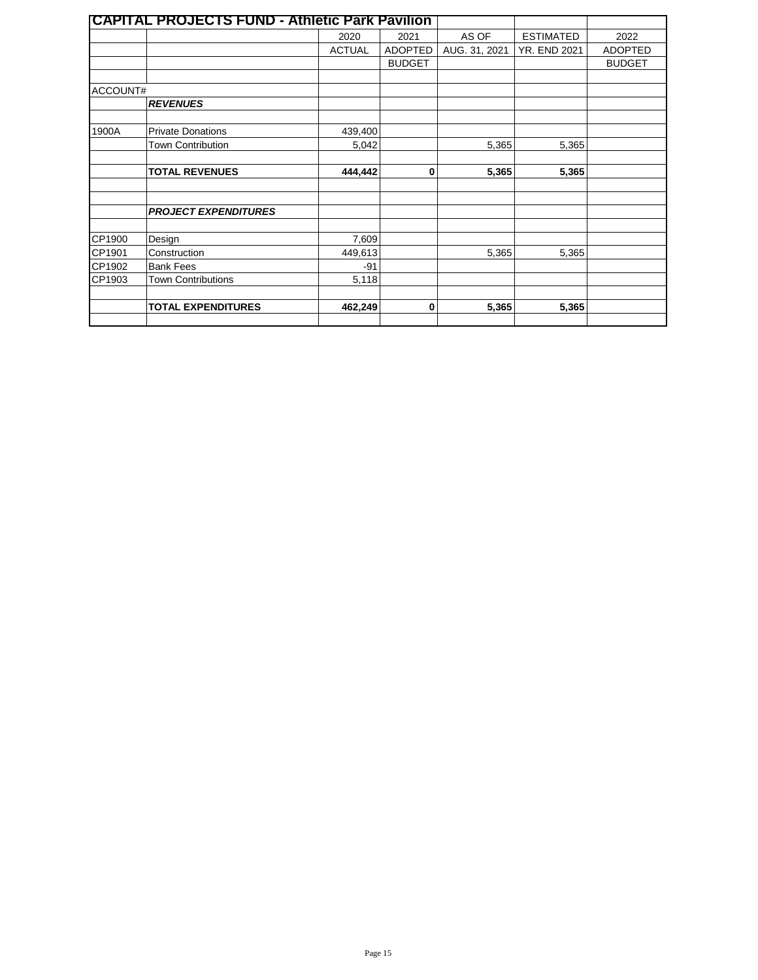|          | <b>CAPITAL PROJECTS FUND - Athletic Park Pavilion</b> |               |                |               |                     |                |
|----------|-------------------------------------------------------|---------------|----------------|---------------|---------------------|----------------|
|          |                                                       | 2020          | 2021           | AS OF         | <b>ESTIMATED</b>    | 2022           |
|          |                                                       | <b>ACTUAL</b> | <b>ADOPTED</b> | AUG. 31, 2021 | <b>YR. END 2021</b> | <b>ADOPTED</b> |
|          |                                                       |               | <b>BUDGET</b>  |               |                     | <b>BUDGET</b>  |
|          |                                                       |               |                |               |                     |                |
| ACCOUNT# |                                                       |               |                |               |                     |                |
|          | <b>REVENUES</b>                                       |               |                |               |                     |                |
| 1900A    | <b>Private Donations</b>                              | 439,400       |                |               |                     |                |
|          | <b>Town Contribution</b>                              | 5,042         |                | 5,365         | 5,365               |                |
|          |                                                       |               |                |               |                     |                |
|          | <b>TOTAL REVENUES</b>                                 | 444,442       | $\bf{0}$       | 5,365         | 5,365               |                |
|          |                                                       |               |                |               |                     |                |
|          | <b>PROJECT EXPENDITURES</b>                           |               |                |               |                     |                |
| CP1900   | Design                                                | 7,609         |                |               |                     |                |
| CP1901   | Construction                                          | 449,613       |                | 5,365         | 5,365               |                |
| CP1902   | <b>Bank Fees</b>                                      | $-91$         |                |               |                     |                |
| CP1903   | <b>Town Contributions</b>                             | 5,118         |                |               |                     |                |
|          |                                                       |               |                |               |                     |                |
|          | <b>TOTAL EXPENDITURES</b>                             | 462,249       | $\bf{0}$       | 5,365         | 5,365               |                |
|          |                                                       |               |                |               |                     |                |